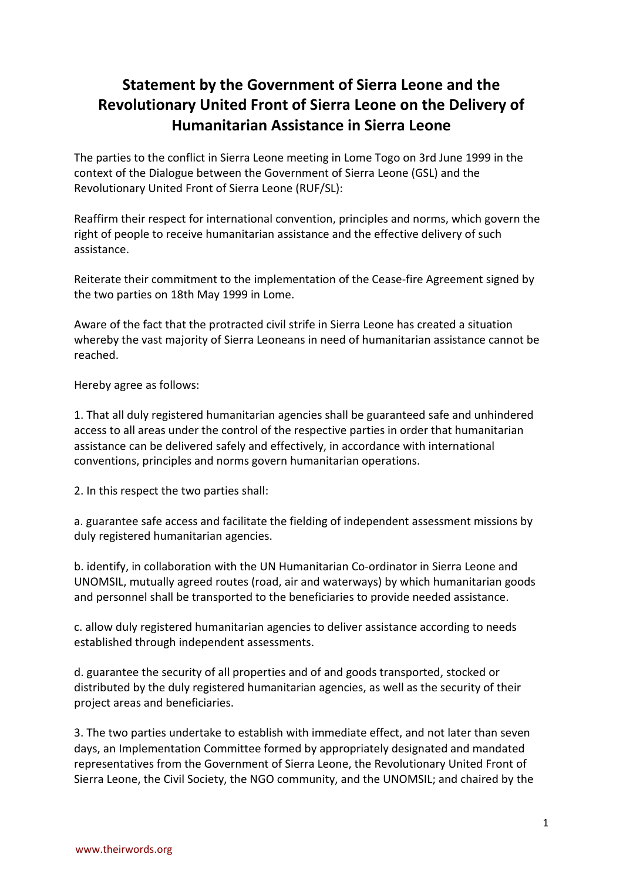## **Statement by the Government of Sierra Leone and the Revolutionary United Front of Sierra Leone on the Delivery of Humanitarian Assistance in Sierra Leone**

The parties to the conflict in Sierra Leone meeting in Lome Togo on 3rd June 1999 in the context of the Dialogue between the Government of Sierra Leone (GSL) and the Revolutionary United Front of Sierra Leone (RUF/SL):

Reaffirm their respect for international convention, principles and norms, which govern the right of people to receive humanitarian assistance and the effective delivery of such assistance.

Reiterate their commitment to the implementation of the Cease-fire Agreement signed by the two parties on 18th May 1999 in Lome.

Aware of the fact that the protracted civil strife in Sierra Leone has created a situation whereby the vast majority of Sierra Leoneans in need of humanitarian assistance cannot be reached.

Hereby agree as follows:

1. That all duly registered humanitarian agencies shall be guaranteed safe and unhindered access to all areas under the control of the respective parties in order that humanitarian assistance can be delivered safely and effectively, in accordance with international conventions, principles and norms govern humanitarian operations.

2. In this respect the two parties shall:

a. guarantee safe access and facilitate the fielding of independent assessment missions by duly registered humanitarian agencies.

b. identify, in collaboration with the UN Humanitarian Co-ordinator in Sierra Leone and UNOMSIL, mutually agreed routes (road, air and waterways) by which humanitarian goods and personnel shall be transported to the beneficiaries to provide needed assistance.

c. allow duly registered humanitarian agencies to deliver assistance according to needs established through independent assessments.

d. guarantee the security of all properties and of and goods transported, stocked or distributed by the duly registered humanitarian agencies, as well as the security of their project areas and beneficiaries.

3. The two parties undertake to establish with immediate effect, and not later than seven days, an Implementation Committee formed by appropriately designated and mandated representatives from the Government of Sierra Leone, the Revolutionary United Front of Sierra Leone, the Civil Society, the NGO community, and the UNOMSIL; and chaired by the